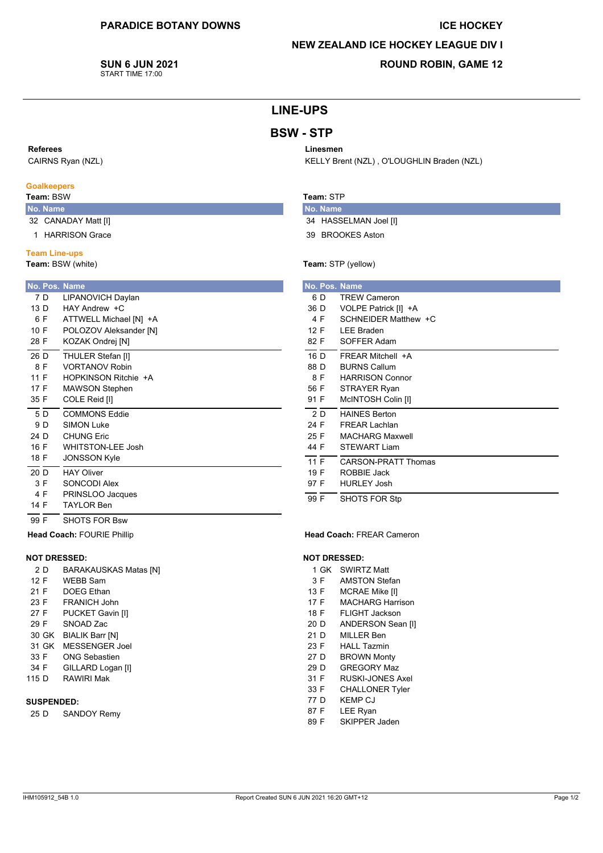### **ICE HOCKEY**

### **NEW ZEALAND ICE HOCKEY LEAGUE DIV I**

**SUN 6 JUN 2021** START TIME 17:00

## **ROUND ROBIN, GAME 12**

# **LINE-UPS**

# **BSW-STP**

### Referees

CAIRNS Ryan (NZL)

### **Goalkeepers**

### Team: BSW

- No. Name
- 32 CANADAY Matt [I]
- 1 HARRISON Grace

## **Team Line-ups**

Team: BSW (white)

| No. Pos. Name |                          |
|---------------|--------------------------|
| 7 D           | LIPANOVICH Daylan        |
| 13 D          | $HAY$ Andrew $+C$        |
| 6 F           | ATTWELL Michael [N] +A   |
| 10 F          | POLOZOV Aleksander [N]   |
| 28 F          | KOZAK Ondrej [N]         |
| 26 D          | THULER Stefan [I]        |
| 8 F           | <b>VORTANOV Robin</b>    |
| 11 F          | HOPKINSON Ritchie +A     |
| 17 F          | <b>MAWSON Stephen</b>    |
| 35 F          | COLE Reid [I]            |
| 5 D           | COMMONS Eddie            |
| 9 D           | <b>SIMON Luke</b>        |
| 24 D          | <b>CHUNG Eric</b>        |
| 16 F          | <b>WHITSTON-LEE Josh</b> |
| 18 F          | <b>JONSSON Kyle</b>      |
| 20 D          | <b>HAY Oliver</b>        |
| 3 F           | SONCODI Alex             |
| 4 F           | PRINSLOO Jacques         |
| 14 F          | <b>TAYI OR Ben</b>       |
| 99 F          | SHOTS FOR Bsw            |

#### Head Coach: FOURIE Phillip

### **NOT DRESSED:**

- $2D$ **BARAKAUSKAS Matas [N]**
- $12 F$ WEBB Sam
- $21 F$ **DOEG** Ethan
- 23 F FRANICH John
- 27 F PUCKET Gavin [I]
- 29 F SNOAD Zac
- 30 GK BIALIK Barr [N]
- 31 GK MESSENGER Joel
- 33 F **ONG Sebastien**
- 34 F GILLARD Logan [I] RAWIRI Mak 115 D

#### **SUSPENDED:**

25 D **SANDOY Remy** 

## Linesmen KELLY Brent (NZL), O'LOUGHLIN Braden (NZL)

### Team: STP

No. Name 34 HASSELMAN Joel [I]

39 BROOKES Aston

#### Team: STP (yellow)

|      |     | No. Pos. Name              |  |  |  |  |  |
|------|-----|----------------------------|--|--|--|--|--|
|      | 6 D | <b>TREW Cameron</b>        |  |  |  |  |  |
| 36 D |     | VOLPE Patrick [I] +A       |  |  |  |  |  |
|      | 4 F | SCHNEIDER Matthew +C       |  |  |  |  |  |
| 12 F |     | <b>LEE Braden</b>          |  |  |  |  |  |
| 82 F |     | SOFFER Adam                |  |  |  |  |  |
| 16 D |     | <b>FREAR Mitchell +A</b>   |  |  |  |  |  |
| 88 D |     | <b>BURNS Callum</b>        |  |  |  |  |  |
|      | 8 F | <b>HARRISON Connor</b>     |  |  |  |  |  |
| 56 F |     | <b>STRAYER Ryan</b>        |  |  |  |  |  |
| 91 F |     | McINTOSH Colin [I]         |  |  |  |  |  |
|      | 2 D | <b>HAINES Berton</b>       |  |  |  |  |  |
| 24 F |     | <b>FREAR Lachlan</b>       |  |  |  |  |  |
| 25 F |     | <b>MACHARG Maxwell</b>     |  |  |  |  |  |
| 44 F |     | STFWART Liam               |  |  |  |  |  |
| 11 F |     | <b>CARSON-PRATT Thomas</b> |  |  |  |  |  |
| 19 F |     | <b>ROBBIE Jack</b>         |  |  |  |  |  |
| 97 F |     | <b>HURLEY Josh</b>         |  |  |  |  |  |
| 99 F |     | SHOTS FOR Stp              |  |  |  |  |  |

#### Head Coach: FREAR Cameron

#### **NOT DRESSED:**

- 1 GK SWIRTZ Matt
- $3F$ **AMSTON Stefan**
- 13 F MCRAE Mike [I]
- 17 F **MACHARG Harrison**
- 18 F FLIGHT Jackson
- ANDERSON Sean [I] 20 D
- $21D$ MILLER Ben
- 23 F **HALL Tazmin**
- 27 D **BROWN Monty**
- 29 D **GREGORY Maz**
- $31 F$ RUSKI-JONES Axel
- 33 F **CHALLONER Tyler**
- 77 D **KEMP CJ**
- 87 F LEE Ryan
- 89 F SKIPPER Jaden